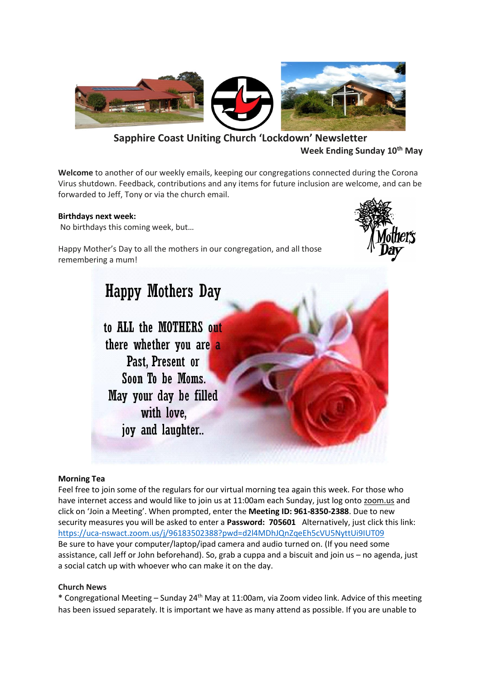

**Sapphire Coast Uniting Church 'Lockdown' Newsletter Week Ending Sunday 10th May**

**Welcome** to another of our weekly emails, keeping our congregations connected during the Corona Virus shutdown. Feedback, contributions and any items for future inclusion are welcome, and can be forwarded to Jeff, Tony or via the church email.

## **Birthdays next week:**

No birthdays this coming week, but…

Happy Mother's Day to all the mothers in our congregation, and all those remembering a mum!



# **Happy Mothers Day**

to ALL the MOTHERS out there whether you are a Past. Present or Soon To be Moms May your day be filled with love, joy and laughter...

#### **Morning Tea**

Feel free to join some of the regulars for our virtual morning tea again this week. For those who have internet access and would like to join us at 11:00am each Sunday, just log onto zoom.us and click on 'Join a Meeting'. When prompted, enter the **Meeting ID: 961-8350-2388**. Due to new security measures you will be asked to enter a **Password: 705601** Alternatively, just click this link: <https://uca-nswact.zoom.us/j/96183502388?pwd=d2l4MDhJQnZqeEh5cVU5NyttUi9IUT09> Be sure to have your computer/laptop/ipad camera and audio turned on. (If you need some assistance, call Jeff or John beforehand). So, grab a cuppa and a biscuit and join us – no agenda, just a social catch up with whoever who can make it on the day.

## **Church News**

**\*** Congregational Meeting – Sunday 24th May at 11:00am, via Zoom video link. Advice of this meeting has been issued separately. It is important we have as many attend as possible. If you are unable to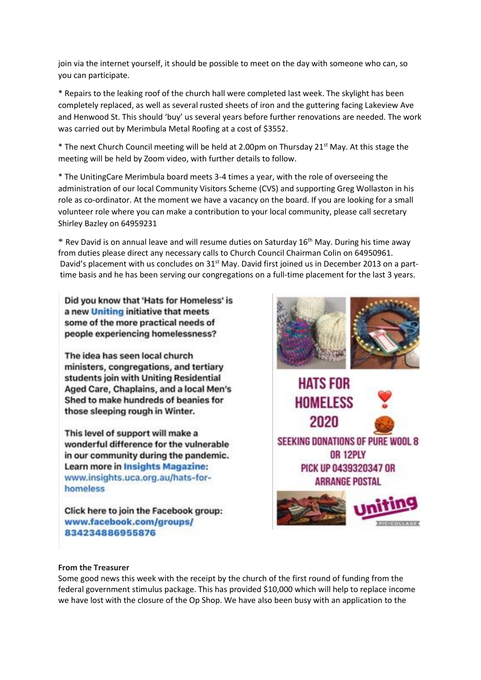join via the internet yourself, it should be possible to meet on the day with someone who can, so you can participate.

\* Repairs to the leaking roof of the church hall were completed last week. The skylight has been completely replaced, as well as several rusted sheets of iron and the guttering facing Lakeview Ave and Henwood St. This should 'buy' us several years before further renovations are needed. The work was carried out by Merimbula Metal Roofing at a cost of \$3552.

 $*$  The next Church Council meeting will be held at 2.00pm on Thursday 21st May. At this stage the meeting will be held by Zoom video, with further details to follow.

\* The UnitingCare Merimbula board meets 3-4 times a year, with the role of overseeing the administration of our local Community Visitors Scheme (CVS) and supporting Greg Wollaston in his role as co-ordinator. At the moment we have a vacancy on the board. If you are looking for a small volunteer role where you can make a contribution to your local community, please call secretary Shirley Bazley on 64959231

 $*$  Rev David is on annual leave and will resume duties on Saturday 16<sup>th</sup> May. During his time away from duties please direct any necessary calls to Church Council Chairman Colin on 64950961. David's placement with us concludes on 31<sup>st</sup> May. David first joined us in December 2013 on a parttime basis and he has been serving our congregations on a full-time placement for the last 3 years.

Did you know that 'Hats for Homeless' is a new Uniting initiative that meets some of the more practical needs of people experiencing homelessness?

The idea has seen local church ministers, congregations, and tertiary students join with Uniting Residential Aged Care, Chaplains, and a local Men's Shed to make hundreds of beanies for those sleeping rough in Winter.

This level of support will make a wonderful difference for the vulnerable in our community during the pandemic. Learn more in Insights Magazine: www.insights.uca.org.au/hats-forhomeless

Click here to join the Facebook group: www.facebook.com/groups/ 834234886955876



## **From the Treasurer**

Some good news this week with the receipt by the church of the first round of funding from the federal government stimulus package. This has provided \$10,000 which will help to replace income we have lost with the closure of the Op Shop. We have also been busy with an application to the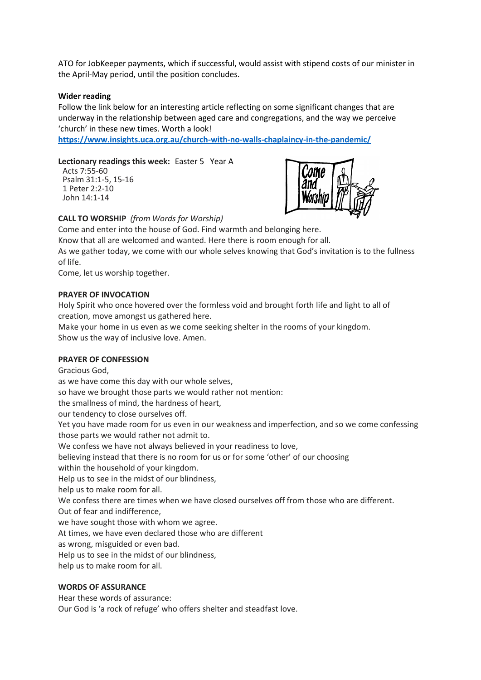ATO for JobKeeper payments, which if successful, would assist with stipend costs of our minister in the April-May period, until the position concludes.

#### **Wider reading**

Follow the link below for an interesting article reflecting on some significant changes that are underway in the relationship between aged care and congregations, and the way we perceive 'church' in these new times. Worth a look!

**<https://www.insights.uca.org.au/church-with-no-walls-chaplaincy-in-the-pandemic/>**

#### **Lectionary readings this week:** Easter 5 Year A

Acts 7:55-60 Psalm 31:1-5, 15-16 1 Peter 2:2-10 John 14:1-14



#### **CALL TO WORSHIP** *(from Words for Worship)*

Come and enter into the house of God. Find warmth and belonging here. Know that all are welcomed and wanted. Here there is room enough for all. As we gather today, we come with our whole selves knowing that God's invitation is to the fullness of life.

Come, let us worship together.

#### **PRAYER OF INVOCATION**

Holy Spirit who once hovered over the formless void and brought forth life and light to all of creation, move amongst us gathered here.

Make your home in us even as we come seeking shelter in the rooms of your kingdom. Show us the way of inclusive love. Amen.

#### **PRAYER OF CONFESSION**

Gracious God,

as we have come this day with our whole selves,

so have we brought those parts we would rather not mention:

the smallness of mind, the hardness of heart,

our tendency to close ourselves off.

Yet you have made room for us even in our weakness and imperfection, and so we come confessing those parts we would rather not admit to.

We confess we have not always believed in your readiness to love,

believing instead that there is no room for us or for some 'other' of our choosing

within the household of your kingdom.

Help us to see in the midst of our blindness,

help us to make room for all.

We confess there are times when we have closed ourselves off from those who are different.

Out of fear and indifference,

we have sought those with whom we agree.

At times, we have even declared those who are different

as wrong, misguided or even bad.

Help us to see in the midst of our blindness,

help us to make room for all.

#### **WORDS OF ASSURANCE**

Hear these words of assurance:

Our God is 'a rock of refuge' who offers shelter and steadfast love.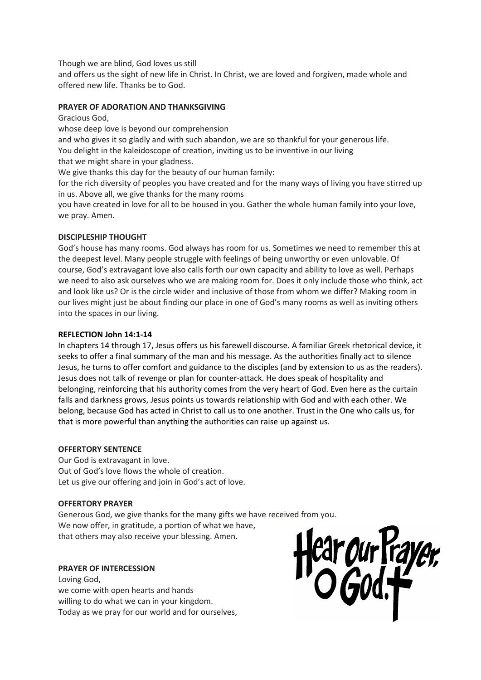Though we are blind, God loves us still

and offers us the sight of new life in Christ. In Christ, we are loved and forgiven, made whole and offered new life. Thanks be to God.

## **PRAYER OF ADORATION AND THANKSGIVING**

Gracious God,

whose deep love is beyond our comprehension

and who gives it so gladly and with such abandon, we are so thankful for your generous life.

You delight in the kaleidoscope of creation, inviting us to be inventive in our living

that we might share in your gladness.

We give thanks this day for the beauty of our human family:

for the rich diversity of peoples you have created and for the many ways of living you have stirred up in us. Above all, we give thanks for the many rooms

you have created in love for all to be housed in you. Gather the whole human family into your love, we pray. Amen.

# **DISCIPLESHIP THOUGHT**

God's house has many rooms. God always has room for us. Sometimes we need to remember this at the deepest level. Many people struggle with feelings of being unworthy or even unlovable. Of course, God's extravagant love also calls forth our own capacity and ability to love as well. Perhaps we need to also ask ourselves who we are making room for. Does it only include those who think, act and look like us? Or is the circle wider and inclusive of those from whom we differ? Making room in our lives might just be about finding our place in one of God's many rooms as well as inviting others into the spaces in our living.

# **REFLECTION John 14:1-14**

In chapters 14 through 17, Jesus offers us his farewell discourse. A familiar Greek rhetorical device, it seeks to offer a final summary of the man and his message. As the authorities finally act to silence Jesus, he turns to offer comfort and guidance to the disciples (and by extension to us as the readers). Jesus does not talk of revenge or plan for counter-attack. He does speak of hospitality and belonging, reinforcing that his authority comes from the very heart of God. Even here as the curtain falls and darkness grows, Jesus points us towards relationship with God and with each other. We belong, because God has acted in Christ to call us to one another. Trust in the One who calls us, for that is more powerful than anything the authorities can raise up against us.

## **OFFERTORY SENTENCE**

Our God is extravagant in love. Out of God's love flows the whole of creation. Let us give our offering and join in God's act of love.

## **OFFERTORY PRAYER**

Generous God, we give thanks for the many gifts we have received from you. We now offer, in gratitude, a portion of what we have, that others may also receive your blessing. Amen.

# **PRAYER OF INTERCESSION**

Loving God, we come with open hearts and hands willing to do what we can in your kingdom. Today as we pray for our world and for ourselves,